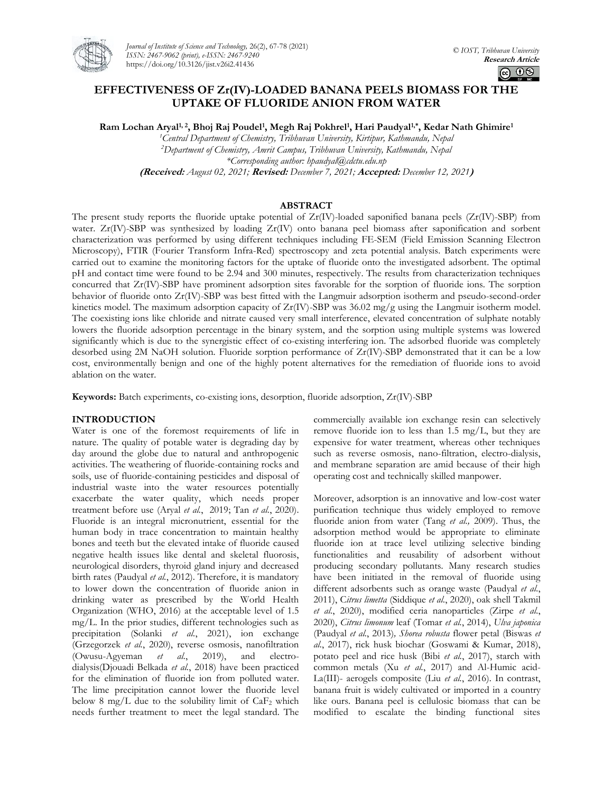

*Journal of Institute of Science and Technology,* 26(2), 67-78 (2021) *ISSN: 2467-9062 (print), e-ISSN: 2467-9240* https://doi.org/10.3126/jist.v26i2.41436

# **EFFECTIVENESS OF Zr(IV)-LOADED BANANA PEELS BIOMASS FOR THE UPTAKE OF FLUORIDE ANION FROM WATER**

**Ram Lochan Aryal1, 2, Bhoj Raj Poudel<sup>1</sup> , Megh Raj Pokhrel<sup>1</sup> , Hari Paudyal1,\*, Kedar Nath Ghimire<sup>1</sup>**

*<sup>1</sup>Central Department of Chemistry, Tribhuvan University, Kirtipur, Kathmandu, Nepal <sup>2</sup>Department of Chemistry, Amrit Campus, Tribhuvan University, Kathmandu, Nepal \*Corresponding author: hpaudyal@cdctu.edu.np* **(Received:** *August 02, 2021;* **Revised:** *December 7, 2021;* **Accepted:** *December 12, 2021***)**

## **ABSTRACT**

The present study reports the fluoride uptake potential of  $Zr(IV)$ -loaded saponified banana peels  $(Zr(IV)$ -SBP) from water. Zr(IV)-SBP was synthesized by loading Zr(IV) onto banana peel biomass after saponification and sorbent characterization was performed by using different techniques including FE-SEM (Field Emission Scanning Electron Microscopy), FTIR (Fourier Transform Infra-Red) spectroscopy and zeta potential analysis. Batch experiments were carried out to examine the monitoring factors for the uptake of fluoride onto the investigated adsorbent. The optimal pH and contact time were found to be 2.94 and 300 minutes, respectively. The results from characterization techniques concurred that Zr(IV)-SBP have prominent adsorption sites favorable for the sorption of fluoride ions. The sorption behavior of fluoride onto Zr(IV)-SBP was best fitted with the Langmuir adsorption isotherm and pseudo-second-order kinetics model. The maximum adsorption capacity of Zr(IV)-SBP was 36.02 mg/g using the Langmuir isotherm model. The coexisting ions like chloride and nitrate caused very small interference, elevated concentration of sulphate notably lowers the fluoride adsorption percentage in the binary system, and the sorption using multiple systems was lowered significantly which is due to the synergistic effect of co-existing interfering ion. The adsorbed fluoride was completely desorbed using 2M NaOH solution. Fluoride sorption performance of Zr(IV)-SBP demonstrated that it can be a low cost, environmentally benign and one of the highly potent alternatives for the remediation of fluoride ions to avoid ablation on the water.

**Keywords:** Batch experiments, co-existing ions, desorption, fluoride adsorption, Zr(IV)-SBP

## **INTRODUCTION**

Water is one of the foremost requirements of life in nature. The quality of potable water is degrading day by day around the globe due to natural and anthropogenic activities. The weathering of fluoride-containing rocks and soils, use of fluoride-containing pesticides and disposal of industrial waste into the water resources potentially exacerbate the water quality, which needs proper treatment before use (Aryal *et al.*, 2019; Tan *et al.*, 2020). Fluoride is an integral micronutrient, essential for the human body in trace concentration to maintain healthy bones and teeth but the elevated intake of fluoride caused negative health issues like dental and skeletal fluorosis, neurological disorders, thyroid gland injury and decreased birth rates (Paudyal *et al.*, 2012). Therefore, it is mandatory to lower down the concentration of fluoride anion in drinking water as prescribed by the World Health Organization (WHO, 2016) at the acceptable level of 1.5 mg/L. In the prior studies, different technologies such as precipitation (Solanki *et al.*, 2021), ion exchange (Grzegorzek *et al.*, 2020), reverse osmosis, nanofiltration (Owusu-Agyeman *et al.*, 2019), and electrodialysis(Djouadi Belkada *et al.*, 2018) have been practiced for the elimination of fluoride ion from polluted water. The lime precipitation cannot lower the fluoride level below 8 mg/L due to the solubility limit of  $CaF<sub>2</sub>$  which needs further treatment to meet the legal standard. The commercially available ion exchange resin can selectively remove fluoride ion to less than 1.5 mg/L, but they are expensive for water treatment, whereas other techniques such as reverse osmosis, nano-filtration, electro-dialysis, and membrane separation are amid because of their high operating cost and technically skilled manpower.

Moreover, adsorption is an innovative and low-cost water purification technique thus widely employed to remove fluoride anion from water (Tang *et al.,* 2009). Thus, the adsorption method would be appropriate to eliminate fluoride ion at trace level utilizing selective binding functionalities and reusability of adsorbent without producing secondary pollutants. Many research studies have been initiated in the removal of fluoride using different adsorbents such as orange waste (Paudyal *et al.*, 2011), C*itrus limetta* (Siddique *et al.*, 2020), oak shell Takmil *et al.*, 2020), modified ceria nanoparticles (Zirpe *et al.*, 2020), *Citrus limonum* leaf (Tomar *et al.*, 2014), *Ulva japonica* (Paudyal *et al.*, 2013)*, Shorea robusta* flower petal (Biswas *et al.*, 2017), rick husk biochar (Goswami & Kumar, 2018), potato peel and rice husk (Bibi *et al.*, 2017), starch with common metals (Xu *et al.*, 2017) and Al-Humic acid-La(III)- aerogels composite (Liu *et al.*, 2016). In contrast, banana fruit is widely cultivated or imported in a country like ours. Banana peel is cellulosic biomass that can be modified to escalate the binding functional sites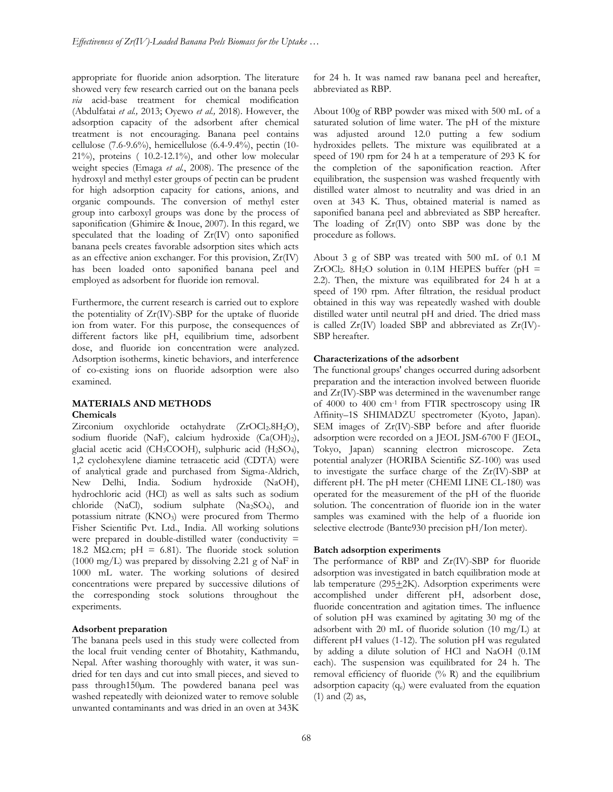appropriate for fluoride anion adsorption. The literature showed very few research carried out on the banana peels *via* acid-base treatment for chemical modification (Abdulfatai *et al.,* 2013; Oyewo *et al.,* 2018). However, the adsorption capacity of the adsorbent after chemical treatment is not encouraging. Banana peel contains cellulose (7.6-9.6%), hemicellulose (6.4-9.4%), pectin (10- 21%), proteins ( 10.2-12.1%), and other low molecular weight species (Emaga *et al.*, 2008). The presence of the hydroxyl and methyl ester groups of pectin can be prudent for high adsorption capacity for cations, anions, and organic compounds. The conversion of methyl ester group into carboxyl groups was done by the process of saponification (Ghimire & Inoue, 2007). In this regard, we speculated that the loading of Zr(IV) onto saponified banana peels creates favorable adsorption sites which acts as an effective anion exchanger. For this provision, Zr(IV) has been loaded onto saponified banana peel and employed as adsorbent for fluoride ion removal.

Furthermore, the current research is carried out to explore the potentiality of Zr(IV)-SBP for the uptake of fluoride ion from water. For this purpose, the consequences of different factors like pH, equilibrium time, adsorbent dose, and fluoride ion concentration were analyzed. Adsorption isotherms, kinetic behaviors, and interference of co-existing ions on fluoride adsorption were also examined.

#### **MATERIALS AND METHODS Chemicals**

Zirconium oxychloride octahydrate (ZrOCl<sub>2</sub>.8H<sub>2</sub>O), sodium fluoride (NaF), calcium hydroxide (Ca(OH)2), glacial acetic acid (CH3COOH), sulphuric acid (H2SO4), 1,2 cyclohexylene diamine tetraacetic acid (CDTA) were of analytical grade and purchased from Sigma-Aldrich, New Delhi, India. Sodium hydroxide (NaOH), hydrochloric acid (HCl) as well as salts such as sodium chloride (NaCl), sodium sulphate (Na2SO4), and potassium nitrate (KNO<sub>3</sub>) were procured from Thermo Fisher Scientific Pvt. Ltd., India. All working solutions were prepared in double-distilled water (conductivity = 18.2 M $\Omega$ .cm; pH = 6.81). The fluoride stock solution (1000 mg/L) was prepared by dissolving 2.21 g of NaF in 1000 mL water. The working solutions of desired concentrations were prepared by successive dilutions of the corresponding stock solutions throughout the experiments.

### **Adsorbent preparation**

The banana peels used in this study were collected from the local fruit vending center of Bhotahity, Kathmandu, Nepal. After washing thoroughly with water, it was sundried for ten days and cut into small pieces, and sieved to pass through150µm. The powdered banana peel was washed repeatedly with deionized water to remove soluble unwanted contaminants and was dried in an oven at 343K

for 24 h. It was named raw banana peel and hereafter, abbreviated as RBP.

About 100g of RBP powder was mixed with 500 mL of a saturated solution of lime water. The pH of the mixture was adjusted around 12.0 putting a few sodium hydroxides pellets. The mixture was equilibrated at a speed of 190 rpm for 24 h at a temperature of 293 K for the completion of the saponification reaction. After equilibration, the suspension was washed frequently with distilled water almost to neutrality and was dried in an oven at 343 K. Thus, obtained material is named as saponified banana peel and abbreviated as SBP hereafter. The loading of Zr(IV) onto SBP was done by the procedure as follows.

About 3 g of SBP was treated with 500 mL of 0.1 M ZrOCl<sub>2</sub>. 8H<sub>2</sub>O solution in 0.1M HEPES buffer (pH = 2.2). Then, the mixture was equilibrated for 24 h at a speed of 190 rpm. After filtration, the residual product obtained in this way was repeatedly washed with double distilled water until neutral pH and dried. The dried mass is called  $Zr(IV)$  loaded SBP and abbreviated as  $Zr(IV)$ -SBP hereafter.

#### **Characterizations of the adsorbent**

The functional groups' changes occurred during adsorbent preparation and the interaction involved between fluoride and Zr(IV)-SBP was determined in the wavenumber range of 4000 to 400 cm-1 from FTIR spectroscopy using IR Affinity–1S SHIMADZU spectrometer (Kyoto, Japan). SEM images of Zr(IV)-SBP before and after fluoride adsorption were recorded on a JEOL JSM-6700 F (JEOL, Tokyo, Japan) scanning electron microscope. Zeta potential analyzer (HORIBA Scientific SZ-100) was used to investigate the surface charge of the Zr(IV)-SBP at different pH. The pH meter (CHEMI LINE CL-180) was operated for the measurement of the pH of the fluoride solution. The concentration of fluoride ion in the water samples was examined with the help of a fluoride ion selective electrode (Bante930 precision pH/Ion meter).

#### **Batch adsorption experiments**

The performance of RBP and Zr(IV)-SBP for fluoride adsorption was investigated in batch equilibration mode at lab temperature  $(295+2K)$ . Adsorption experiments were accomplished under different pH, adsorbent dose, fluoride concentration and agitation times. The influence of solution pH was examined by agitating 30 mg of the adsorbent with 20 mL of fluoride solution (10 mg/L) at different pH values (1-12). The solution pH was regulated by adding a dilute solution of HCl and NaOH (0.1M each). The suspension was equilibrated for 24 h. The removal efficiency of fluoride  $(^{\circ}\!/_{0} R)$  and the equilibrium adsorption capacity (qe) were evaluated from the equation (1) and (2) as,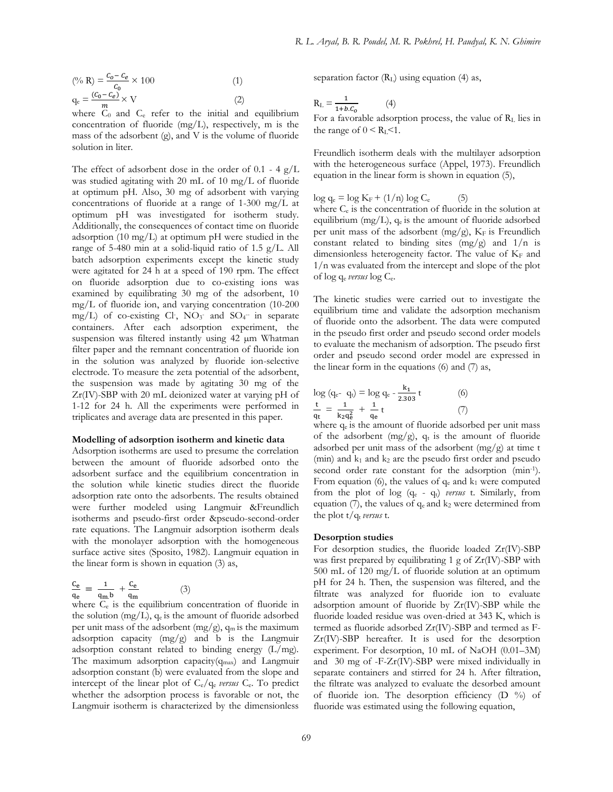$$
\left(\%\ R\right) = \frac{c_o - c_e}{c_o} \times 100\tag{1}
$$
\n
$$
q_e = \frac{(c_o - c_e)}{m} \times V\tag{2}
$$

where  $C_0$  and  $C_e$  refer to the initial and equilibrium concentration of fluoride (mg/L), respectively, m is the mass of the adsorbent (g), and V is the volume of fluoride solution in liter.

The effect of adsorbent dose in the order of  $0.1 - 4$  g/L was studied agitating with 20 mL of 10 mg/L of fluoride at optimum pH. Also, 30 mg of adsorbent with varying concentrations of fluoride at a range of 1-300 mg/L at optimum pH was investigated for isotherm study. Additionally, the consequences of contact time on fluoride adsorption (10 mg/L) at optimum pH were studied in the range of 5-480 min at a solid-liquid ratio of 1.5 g/L. All batch adsorption experiments except the kinetic study were agitated for 24 h at a speed of 190 rpm. The effect on fluoride adsorption due to co-existing ions was examined by equilibrating 30 mg of the adsorbent, 10 mg/L of fluoride ion, and varying concentration (10-200 mg/L) of co-existing Cl-,  $NO_3$  and  $SO_4$  in separate containers. After each adsorption experiment, the suspension was filtered instantly using 42 µm Whatman filter paper and the remnant concentration of fluoride ion in the solution was analyzed by fluoride ion-selective electrode. To measure the zeta potential of the adsorbent, the suspension was made by agitating 30 mg of the Zr(IV)-SBP with 20 mL deionized water at varying pH of 1-12 for 24 h. All the experiments were performed in triplicates and average data are presented in this paper.

#### **Modelling of adsorption isotherm and kinetic data**

Adsorption isotherms are used to presume the correlation between the amount of fluoride adsorbed onto the adsorbent surface and the equilibrium concentration in the solution while kinetic studies direct the fluoride adsorption rate onto the adsorbents. The results obtained were further modeled using Langmuir &Freundlich isotherms and pseudo-first order &pseudo-second-order rate equations. The Langmuir adsorption isotherm deals with the monolayer adsorption with the homogeneous surface active sites (Sposito, 1982). Langmuir equation in the linear form is shown in equation (3) as,

$$
\frac{C_e}{q_e} = \frac{1}{q_m.b} + \frac{C_e}{q_m} \tag{3}
$$

where C<sub>e</sub> is the equilibrium concentration of fluoride in the solution (mg/L), q<sup>e</sup> is the amount of fluoride adsorbed per unit mass of the adsorbent  $(mg/g)$ ,  $q_m$  is the maximum adsorption capacity (mg/g) and b is the Langmuir adsorption constant related to binding energy (L/mg). The maximum adsorption capacity( $q_{max}$ ) and Langmuir adsorption constant (b) were evaluated from the slope and intercept of the linear plot of Ce/q<sup>e</sup> *versus* Ce. To predict whether the adsorption process is favorable or not, the Langmuir isotherm is characterized by the dimensionless

separation factor  $(R<sub>L</sub>)$  using equation (4) as,

$$
R_{L} = \frac{1}{1 + b.c_{o}} \tag{4}
$$

For a favorable adsorption process, the value of  $R<sub>L</sub>$  lies in the range of  $0 \leq R_L \leq 1$ .

Freundlich isotherm deals with the multilayer adsorption with the heterogeneous surface (Appel, 1973). Freundlich equation in the linear form is shown in equation (5),

$$
\log q_e = \log K_F + (1/n) \log C_e \tag{5}
$$

where  $C_e$  is the concentration of fluoride in the solution at equilibrium (mg/L), q<sup>e</sup> is the amount of fluoride adsorbed per unit mass of the adsorbent  $(mg/g)$ ,  $K_F$  is Freundlich constant related to binding sites  $(mg/g)$  and  $1/n$  is dimensionless heterogeneity factor. The value of  $K_F$  and 1/n was evaluated from the intercept and slope of the plot of log q<sup>e</sup> *versus* log Ce.

The kinetic studies were carried out to investigate the equilibrium time and validate the adsorption mechanism of fluoride onto the adsorbent. The data were computed in the pseudo first order and pseudo second order models to evaluate the mechanism of adsorption. The pseudo first order and pseudo second order model are expressed in the linear form in the equations (6) and (7) as,

$$
\log (q_{e^-} q_t) = \log q_e - \frac{k_1}{2.303} t
$$
\n
$$
\frac{t}{q_t} = \frac{1}{k_2 q_e^2} + \frac{1}{q_e} t
$$
\n(6)\n(7)

where  $q_e$  is the amount of fluoride adsorbed per unit mass of the adsorbent (mg/g),  $q_t$  is the amount of fluoride adsorbed per unit mass of the adsorbent (mg/g) at time t (min) and  $k_1$  and  $k_2$  are the pseudo first order and pseudo second order rate constant for the adsorption (min<sup>-1</sup>). From equation (6), the values of  $q_e$  and  $k_1$  were computed from the plot of log (q<sup>e</sup> - qt) *versus* t. Similarly, from equation (7), the values of  $q_e$  and  $k_2$  were determined from the plot t/q<sub>t</sub> versus t.

### **Desorption studies**

For desorption studies, the fluoride loaded Zr(IV)-SBP was first prepared by equilibrating 1 g of Zr(IV)-SBP with 500 mL of 120 mg/L of fluoride solution at an optimum pH for 24 h. Then, the suspension was filtered, and the filtrate was analyzed for fluoride ion to evaluate adsorption amount of fluoride by Zr(IV)-SBP while the fluoride loaded residue was oven-dried at 343 K, which is termed as fluoride adsorbed Zr(IV)-SBP and termed as F-Zr(IV)-SBP hereafter. It is used for the desorption experiment. For desorption, 10 mL of NaOH (0.01–3M) and 30 mg of -F-Zr(IV)-SBP were mixed individually in separate containers and stirred for 24 h. After filtration, the filtrate was analyzed to evaluate the desorbed amount of fluoride ion. The desorption efficiency  $(D \gamma_0)$  of fluoride was estimated using the following equation,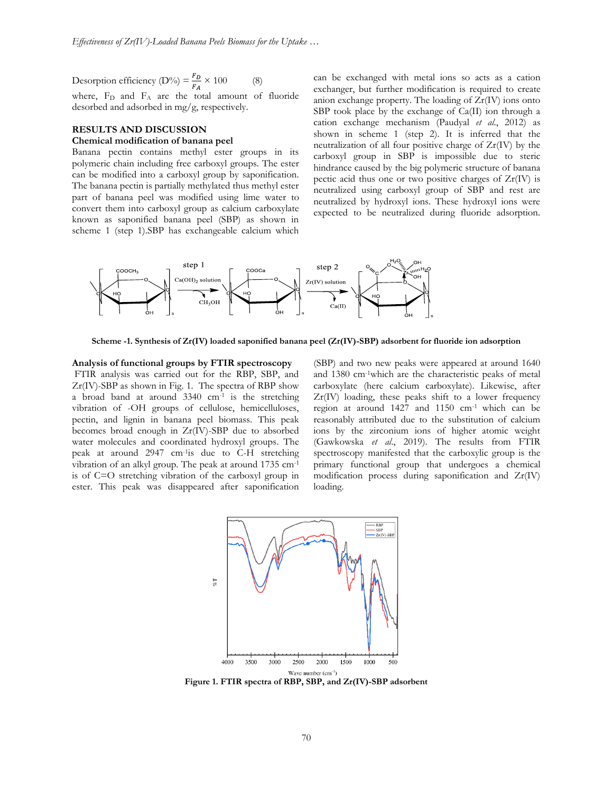Desorption efficiency (D%) =  $\frac{F_D}{F}$  $\frac{P}{F_A} \times 100$  (8) where,  $F_D$  and  $F_A$  are the total amount of fluoride desorbed and adsorbed in mg/g, respectively.

# **RESULTS AND DISCUSSION Chemical modification of banana peel**

Banana pectin contains methyl ester groups in its polymeric chain including free carboxyl groups. The ester can be modified into a carboxyl group by saponification. The banana pectin is partially methylated thus methyl ester part of banana peel was modified using lime water to convert them into carboxyl group as calcium carboxylate known as saponified banana peel (SBP) as shown in scheme 1 (step 1).SBP has exchangeable calcium which can be exchanged with metal ions so acts as a cation exchanger, but further modification is required to create anion exchange property. The loading of Zr(IV) ions onto SBP took place by the exchange of Ca(II) ion through a cation exchange mechanism (Paudyal *et al*., 2012) as shown in scheme 1 (step 2). It is inferred that the neutralization of all four positive charge of Zr(IV) by the carboxyl group in SBP is impossible due to steric hindrance caused by the big polymeric structure of banana pectic acid thus one or two positive charges of  $Zr(IV)$  is neutralized using carboxyl group of SBP and rest are neutralized by hydroxyl ions. These hydroxyl ions were expected to be neutralized during fluoride adsorption.



**Scheme -1. Synthesis of Zr(IV) loaded saponified banana peel (Zr(IV)-SBP) adsorbent for fluoride ion adsorption**

#### **Analysis of functional groups by FTIR spectroscopy**

FTIR analysis was carried out for the RBP, SBP, and Zr(IV)-SBP as shown in Fig. 1. The spectra of RBP show a broad band at around  $3340 \text{ cm}^{-1}$  is the stretching vibration of -OH groups of cellulose, hemicelluloses, pectin, and lignin in banana peel biomass. This peak becomes broad enough in Zr(IV)-SBP due to absorbed water molecules and coordinated hydroxyl groups. The peak at around 2947 cm-1 is due to C-H stretching vibration of an alkyl group. The peak at around 1735 cm-1 is of C=O stretching vibration of the carboxyl group in ester. This peak was disappeared after saponification

(SBP) and two new peaks were appeared at around 1640 and 1380 cm-1which are the characteristic peaks of metal carboxylate (here calcium carboxylate). Likewise, after Zr(IV) loading, these peaks shift to a lower frequency region at around 1427 and 1150 cm-1 which can be reasonably attributed due to the substitution of calcium ions by the zirconium ions of higher atomic weight (Gawkowska *et al*., 2019). The results from FTIR spectroscopy manifested that the carboxylic group is the primary functional group that undergoes a chemical modification process during saponification and Zr(IV) loading.



**Figure 1. FTIR spectra of RBP, SBP, and Zr(IV)-SBP adsorbent**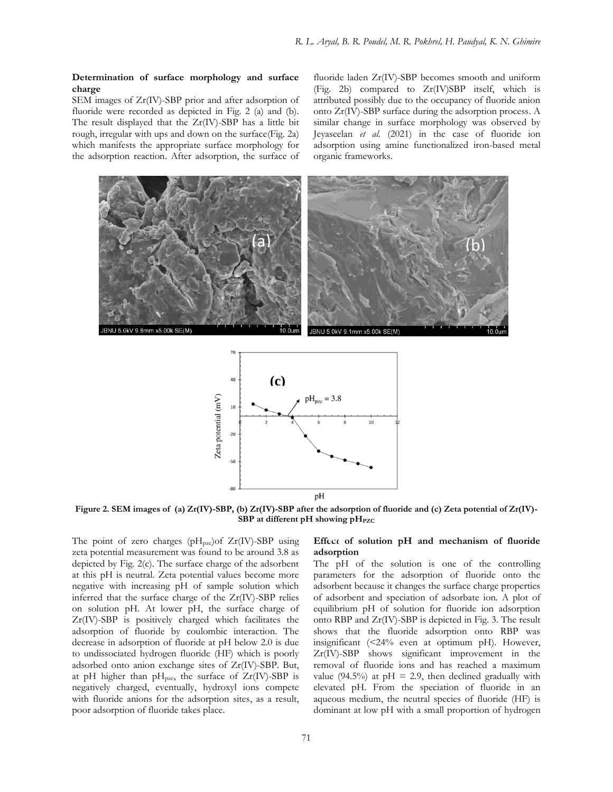## **Determination of surface morphology and surface charge**

SEM images of Zr(IV)-SBP prior and after adsorption of fluoride were recorded as depicted in Fig. 2 (a) and (b). The result displayed that the Zr(IV)-SBP has a little bit rough, irregular with ups and down on the surface(Fig. 2a) which manifests the appropriate surface morphology for the adsorption reaction. After adsorption, the surface of

fluoride laden Zr(IV)-SBP becomes smooth and uniform (Fig. 2b) compared to Zr(IV)SBP itself, which is attributed possibly due to the occupancy of fluoride anion onto Zr(IV)-SBP surface during the adsorption process. A similar change in surface morphology was observed by Jeyaseelan *et al.* (2021) in the case of fluoride ion adsorption using amine functionalized iron-based metal organic frameworks.





**Figure 2. SEM images of (a) Zr(IV)-SBP, (b) Zr(IV)-SBP after the adsorption of fluoride and (c) Zeta potential of Zr(IV)- SBP** at different pH showing pH<sub>PZC</sub>

The point of zero charges ( $pH_{pzc}$ ) of  $Zr$ (IV)-SBP using zeta potential measurement was found to be around 3.8 as depicted by Fig. 2(c). The surface charge of the adsorbent at this pH is neutral. Zeta potential values become more negative with increasing pH of sample solution which inferred that the surface charge of the Zr(IV)-SBP relies on solution pH. At lower pH, the surface charge of Zr(IV)-SBP is positively charged which facilitates the adsorption of fluoride by coulombic interaction. The decrease in adsorption of fluoride at pH below 2.0 is due to undissociated hydrogen fluoride (HF) which is poorly adsorbed onto anion exchange sites of Zr(IV)-SBP. But, at pH higher than pH<sub>pzc</sub>, the surface of  $Zr$ (IV)-SBP is negatively charged, eventually, hydroxyl ions compete with fluoride anions for the adsorption sites, as a result, poor adsorption of fluoride takes place.

# Effect of solution pH and mechanism of fluoride **adsorption**

The pH of the solution is one of the controlling parameters for the adsorption of fluoride onto the adsorbent because it changes the surface charge properties of adsorbent and speciation of adsorbate ion. A plot of equilibrium pH of solution for fluoride ion adsorption onto RBP and Zr(IV)-SBP is depicted in Fig. 3. The result shows that the fluoride adsorption onto RBP was insignificant (<24% even at optimum pH). However, Zr(IV)-SBP shows significant improvement in the removal of fluoride ions and has reached a maximum value (94.5%) at  $pH = 2.9$ , then declined gradually with elevated pH. From the speciation of fluoride in an aqueous medium, the neutral species of fluoride (HF) is dominant at low pH with a small proportion of hydrogen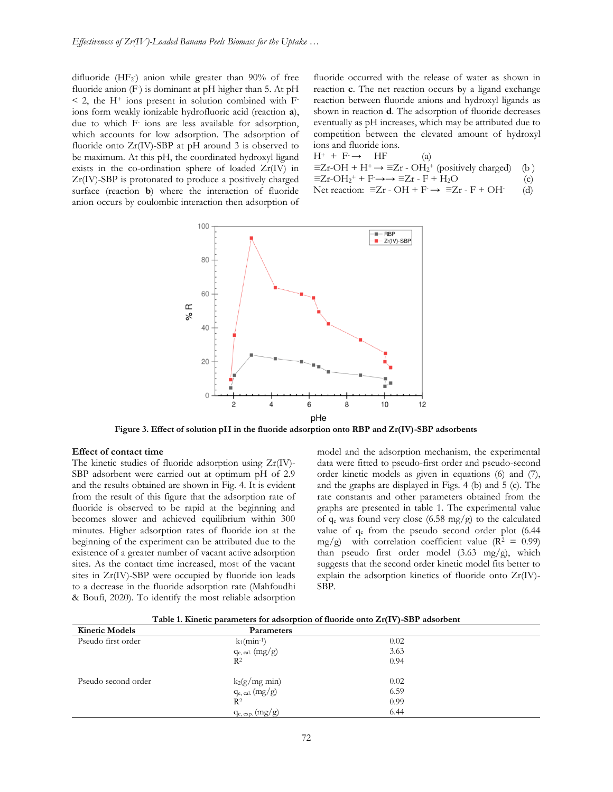difluoride (HF<sub>2</sub>) anion while greater than 90% of free fluoride anion (F) is dominant at pH higher than 5. At pH  $<$  2, the H<sup>+</sup> ions present in solution combined with Fions form weakly ionizable hydrofluoric acid (reaction **a**), due to which F-ions are less available for adsorption, which accounts for low adsorption. The adsorption of fluoride onto Zr(IV)-SBP at pH around 3 is observed to be maximum. At this pH, the coordinated hydroxyl ligand exists in the co-ordination sphere of loaded Zr(IV) in Zr(IV)-SBP is protonated to produce a positively charged surface (reaction **b**) where the interaction of fluoride anion occurs by coulombic interaction then adsorption of

fluoride occurred with the release of water as shown in reaction **c**. The net reaction occurs by a ligand exchange reaction between fluoride anions and hydroxyl ligands as shown in reaction **d**. The adsorption of fluoride decreases eventually as pH increases, which may be attributed due to competition between the elevated amount of hydroxyl ions and fluoride ions.

 $H^+ + F \rightarrow HF$  (a)  $\equiv$ Zr-OH + H<sup>+</sup>  $\rightarrow \equiv$ Zr - OH<sub>2</sub><sup>+</sup> (positively charged) (b)  $\equiv Zr-OH_2^+ + F \rightarrow \Rightarrow \equiv Zr - F + H_2O$  (c) Net reaction:  $\Xi Zr$  - OH + F  $\rightarrow \Xi Zr$  - F + OH-(d)



 **Figure 3. Effect of solution pH in the fluoride adsorption onto RBP and Zr(IV)-SBP adsorbents**

## **Effect of contact time**

The kinetic studies of fluoride adsorption using Zr(IV)- SBP adsorbent were carried out at optimum pH of 2.9 and the results obtained are shown in Fig. 4. It is evident from the result of this figure that the adsorption rate of fluoride is observed to be rapid at the beginning and becomes slower and achieved equilibrium within 300 minutes. Higher adsorption rates of fluoride ion at the beginning of the experiment can be attributed due to the existence of a greater number of vacant active adsorption sites. As the contact time increased, most of the vacant sites in Zr(IV)-SBP were occupied by fluoride ion leads to a decrease in the fluoride adsorption rate (Mahfoudhi & Boufi, 2020). To identify the most reliable adsorption model and the adsorption mechanism, the experimental data were fitted to pseudo-first order and pseudo-second order kinetic models as given in equations (6) and (7), and the graphs are displayed in Figs. 4 (b) and 5 (c). The rate constants and other parameters obtained from the graphs are presented in table 1. The experimental value of  $q_e$  was found very close (6.58 mg/g) to the calculated value of q<sup>e</sup> from the pseudo second order plot (6.44 mg/g) with correlation coefficient value ( $R^2 = 0.99$ ) than pseudo first order model (3.63 mg/g), which suggests that the second order kinetic model fits better to explain the adsorption kinetics of fluoride onto Zr(IV)- SBP.

| Table 1. Kinetic parameters for adsorption of fluoride onto Zr(IV)-SBP adsorbent |
|----------------------------------------------------------------------------------|
|----------------------------------------------------------------------------------|

| <b>Kinetic Models</b> | <b>Parameters</b>          |      |
|-----------------------|----------------------------|------|
| Pseudo first order    | $k_1$ (min <sup>-1</sup> ) | 0.02 |
|                       | $q_{e, cal.}$ (mg/g)       | 3.63 |
|                       | $R^2$                      | 0.94 |
|                       |                            |      |
| Pseudo second order   | $k_2(g/mg \text{ min})$    | 0.02 |
|                       | $q_{e, cal.}$ (mg/g)       | 6.59 |
|                       | $R^2$                      | 0.99 |
|                       | $q_{e, exp.}(mg/g)$        | 6.44 |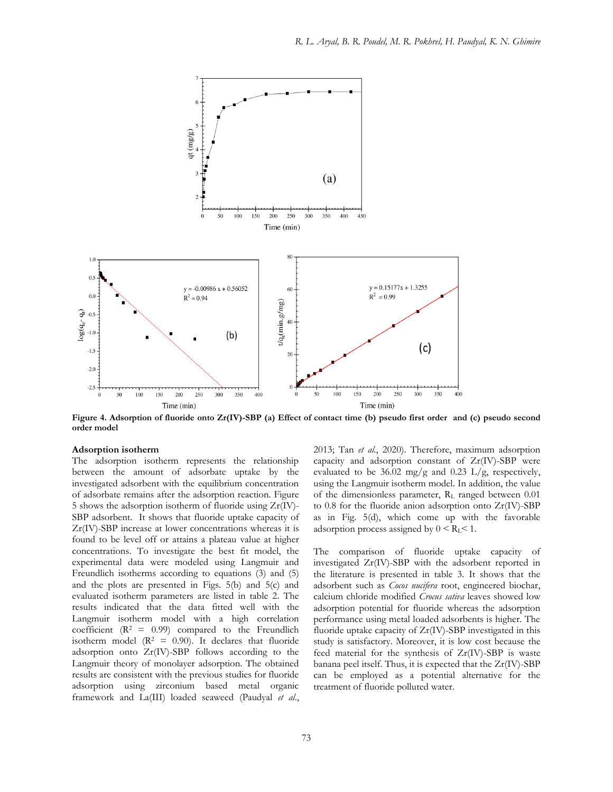

Figure 4. Adsorption of fluoride onto Zr(IV)-SBP (a) Effect of contact time (b) pseudo first order and (c) pseudo second **order model**

#### **Adsorption isotherm**

The adsorption isotherm represents the relationship between the amount of adsorbate uptake by the investigated adsorbent with the equilibrium concentration of adsorbate remains after the adsorption reaction. Figure 5 shows the adsorption isotherm of fluoride using Zr(IV)- SBP adsorbent. It shows that fluoride uptake capacity of Zr(IV)-SBP increase at lower concentrations whereas it is found to be level off or attains a plateau value at higher concentrations. To investigate the best fit model, the experimental data were modeled using Langmuir and Freundlich isotherms according to equations (3) and (5) and the plots are presented in Figs. 5(b) and 5(c) and evaluated isotherm parameters are listed in table 2. The results indicated that the data fitted well with the Langmuir isotherm model with a high correlation coefficient ( $R^2 = 0.99$ ) compared to the Freundlich isotherm model ( $\mathbb{R}^2 = 0.90$ ). It declares that fluoride adsorption onto Zr(IV)-SBP follows according to the Langmuir theory of monolayer adsorption. The obtained results are consistent with the previous studies for fluoride adsorption using zirconium based metal organic framework and La(III) loaded seaweed (Paudyal *et al*.,

73

2013; Tan *et al.*, 2020). Therefore, maximum adsorption capacity and adsorption constant of Zr(IV)-SBP were evaluated to be 36.02 mg/g and 0.23 L/g, respectively, using the Langmuir isotherm model. In addition, the value of the dimensionless parameter, RL ranged between 0.01 to 0.8 for the fluoride anion adsorption onto Zr(IV)-SBP as in Fig. 5(d), which come up with the favorable adsorption process assigned by  $0 \leq R_L \leq 1$ .

The comparison of fluoride uptake capacity of investigated Zr(IV)-SBP with the adsorbent reported in the literature is presented in table 3. It shows that the adsorbent such as *Cocos nucifera* root, engineered biochar, calcium chloride modified *Crocus sativa* leaves showed low adsorption potential for fluoride whereas the adsorption performance using metal loaded adsorbents is higher. The fluoride uptake capacity of Zr(IV)-SBP investigated in this study is satisfactory. Moreover, it is low cost because the feed material for the synthesis of Zr(IV)-SBP is waste banana peel itself. Thus, it is expected that the Zr(IV)-SBP can be employed as a potential alternative for the treatment of fluoride polluted water.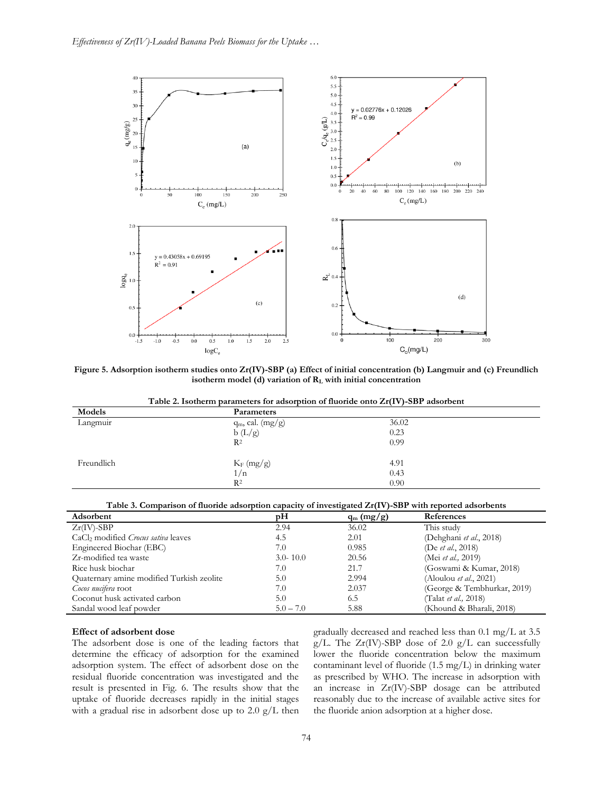

**Figure 5. Adsorption isotherm studies onto Zr(IV)-SBP (a) Effect of initial concentration (b) Langmuir and (c) Freundlich isotherm model (d) variation of R<sup>L</sup> with initial concentration**

| Table 2. Isotherm parameters for adsorption of fluoride onto $Zr(IV)$ -SBP adsorbent |
|--------------------------------------------------------------------------------------|
|--------------------------------------------------------------------------------------|

| Models     | Parameters            |       |
|------------|-----------------------|-------|
| Langmuir   | $q_m$ , cal. $(mg/g)$ | 36.02 |
|            | b(L/g)                | 0.23  |
|            | R <sup>2</sup>        | 0.99  |
| Freundlich | $K_F$ (mg/g)          | 4.91  |
|            | 1/n                   | 0.43  |
|            | $R^2$                 | 0.90  |

|  |  |  | Table 3. Comparison of fluoride adsorption capacity of investigated Zr(IV)-SBP with reported adsorbents |  |  |  |  |
|--|--|--|---------------------------------------------------------------------------------------------------------|--|--|--|--|
|  |  |  |                                                                                                         |  |  |  |  |

| Adsorbent                                              | pН           | $q_m (mg/g)$ | References                     |
|--------------------------------------------------------|--------------|--------------|--------------------------------|
| $Zr$ (IV)-SBP                                          | 2.94         | 36.02        | This study                     |
| CaCl <sub>2</sub> modified <i>Crocus sativa</i> leaves | 4.5          | 2.01         | (Dehghani et al., 2018)        |
| Engineered Biochar (EBC)                               | 7.0          | 0.985        | (De et al., 2018)              |
| Zr-modified tea waste                                  | $3.0 - 10.0$ | 20.56        | (Mei et al., 2019)             |
| Rice husk biochar                                      | 7.0          | 21.7         | (Goswami & Kumar, 2018)        |
| Quaternary amine modified Turkish zeolite              | 5.0          | 2.994        | (Aloulou <i>et al.</i> , 2021) |
| Cocos nucifera root                                    | 7.0          | 2.037        | (George & Tembhurkar, 2019)    |
| Coconut husk activated carbon                          | 5.0          | 6.5          | (Talat et al., 2018)           |
| Sandal wood leaf powder                                | $5.0 - 7.0$  | 5.88         | (Khound & Bharali, 2018)       |

## **Effect of adsorbent dose**

The adsorbent dose is one of the leading factors that determine the efficacy of adsorption for the examined adsorption system. The effect of adsorbent dose on the residual fluoride concentration was investigated and the result is presented in Fig. 6. The results show that the uptake of fluoride decreases rapidly in the initial stages with a gradual rise in adsorbent dose up to  $2.0 \text{ g/L}$  then gradually decreased and reached less than 0.1 mg/L at 3.5 g/L. The Zr(IV)-SBP dose of 2.0 g/L can successfully lower the fluoride concentration below the maximum contaminant level of fluoride (1.5 mg/L) in drinking water as prescribed by WHO. The increase in adsorption with an increase in Zr(IV)-SBP dosage can be attributed reasonably due to the increase of available active sites for the fluoride anion adsorption at a higher dose.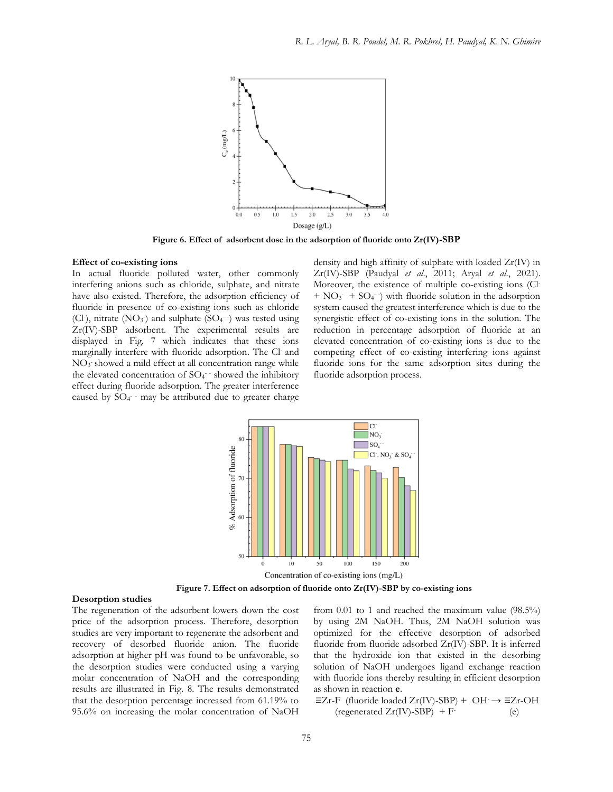

**Figure 6. Effect of adsorbent dose in the adsorption of fluoride onto Zr(IV)-SBP**

## **Effect of co-existing ions**

In actual fluoride polluted water, other commonly interfering anions such as chloride, sulphate, and nitrate have also existed. Therefore, the adsorption efficiency of fluoride in presence of co-existing ions such as chloride (Cl<sup>-</sup>), nitrate (NO<sub>3</sub>) and sulphate (SO<sub>4</sub> $\cdot$ ) was tested using Zr(IV)-SBP adsorbent. The experimental results are displayed in Fig. 7 which indicates that these ions marginally interfere with fluoride adsorption. The Cl- and NO<sub>3</sub> showed a mild effect at all concentration range while the elevated concentration of  $SO_4$  showed the inhibitory effect during fluoride adsorption. The greater interference caused by  $SO_4$ <sup>-</sup> may be attributed due to greater charge density and high affinity of sulphate with loaded Zr(IV) in Zr(IV)-SBP (Paudyal *et al*., 2011; Aryal *et al*., 2021). Moreover, the existence of multiple co-existing ions (Cl-  $+ NO<sub>3</sub> + SO<sub>4</sub>$ ) with fluoride solution in the adsorption system caused the greatest interference which is due to the synergistic effect of co-existing ions in the solution. The reduction in percentage adsorption of fluoride at an elevated concentration of co-existing ions is due to the competing effect of co-existing interfering ions against fluoride ions for the same adsorption sites during the fluoride adsorption process.



**Figure 7. Effect on adsorption of fluoride onto Zr(IV)-SBP by co-existing ions**

#### **Desorption studies**

The regeneration of the adsorbent lowers down the cost price of the adsorption process. Therefore, desorption studies are very important to regenerate the adsorbent and recovery of desorbed fluoride anion. The fluoride adsorption at higher pH was found to be unfavorable, so the desorption studies were conducted using a varying molar concentration of NaOH and the corresponding results are illustrated in Fig. 8. The results demonstrated that the desorption percentage increased from 61.19% to 95.6% on increasing the molar concentration of NaOH

from 0.01 to 1 and reached the maximum value (98.5%) by using 2M NaOH. Thus, 2M NaOH solution was optimized for the effective desorption of adsorbed fluoride from fluoride adsorbed Zr(IV)-SBP. It is inferred that the hydroxide ion that existed in the desorbing solution of NaOH undergoes ligand exchange reaction with fluoride ions thereby resulting in efficient desorption as shown in reaction **e**.

≡Zr-F (fluoride loaded Zr(IV)-SBP) + OH- → ≡Zr-OH (regenerated  $Zr$ (IV)-SBP) + F-(e)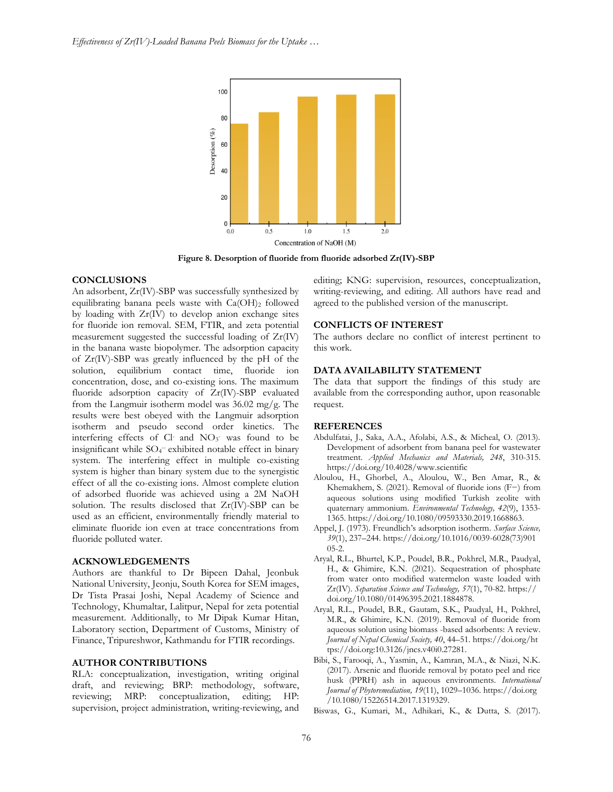

**Figure 8. Desorption of fluoride from fluoride adsorbed Zr(IV)-SBP**

## **CONCLUSIONS**

An adsorbent, Zr(IV)-SBP was successfully synthesized by equilibrating banana peels waste with  $Ca(OH)_2$  followed by loading with Zr(IV) to develop anion exchange sites for fluoride ion removal. SEM, FTIR, and zeta potential measurement suggested the successful loading of Zr(IV) in the banana waste biopolymer. The adsorption capacity of Zr(IV)-SBP was greatly influenced by the pH of the solution, equilibrium contact time, fluoride ion concentration, dose, and co-existing ions. The maximum fluoride adsorption capacity of Zr(IV)-SBP evaluated from the Langmuir isotherm model was 36.02 mg/g. The results were best obeyed with the Langmuir adsorption isotherm and pseudo second order kinetics. The interfering effects of Cl and NO<sub>3</sub> was found to be insignificant while SO<sub>4</sub><sup>-</sup> exhibited notable effect in binary system. The interfering effect in multiple co-existing system is higher than binary system due to the synergistic effect of all the co-existing ions. Almost complete elution of adsorbed fluoride was achieved using a 2M NaOH solution. The results disclosed that Zr(IV)-SBP can be used as an efficient, environmentally friendly material to eliminate fluoride ion even at trace concentrations from fluoride polluted water.

### **ACKNOWLEDGEMENTS**

Authors are thankful to Dr Bipeen Dahal, Jeonbuk National University, Jeonju, South Korea for SEM images, Dr Tista Prasai Joshi, Nepal Academy of Science and Technology, Khumaltar, Lalitpur, Nepal for zeta potential measurement. Additionally, to Mr Dipak Kumar Hitan, Laboratory section, Department of Customs, Ministry of Finance, Tripureshwor, Kathmandu for FTIR recordings.

### **AUTHOR CONTRIBUTIONS**

RLA: conceptualization, investigation, writing original draft, and reviewing; BRP: methodology, software, reviewing; MRP: conceptualization, editing; HP: supervision, project administration, writing-reviewing, and editing; KNG: supervision, resources, conceptualization, writing-reviewing, and editing. All authors have read and agreed to the published version of the manuscript.

## **CONFLICTS OF INTEREST**

The authors declare no conflict of interest pertinent to this work.

## **DATA AVAILABILITY STATEMENT**

The data that support the findings of this study are available from the corresponding author, upon reasonable request.

#### **REFERENCES**

- Abdulfatai, J., Saka, A.A., Afolabi, A.S., & Micheal, O. (2013). Development of adsorbent from banana peel for wastewater treatment. *Applied Mechanics and Materials, 248*, 310-315. https://doi.org/10.4028/www.scientific
- Aloulou, H., Ghorbel, A., Aloulou, W., Ben Amar, R., & Khemakhem, S. (2021). Removal of fluoride ions (F−) from aqueous solutions using modified Turkish zeolite with quaternary ammonium. *Environmental Technology, 42*(9), 1353- 1365. https://doi.org/10.1080/09593330.2019.1668863.
- Appel, J. (1973). Freundlich's adsorption isotherm. *Surface Science, 39*(1), 237–244. https://doi.org/10.1016/0039-6028(73)901 05-2.
- Aryal, R.L., Bhurtel, K.P., Poudel, B.R., Pokhrel, M.R., Paudyal, H., & Ghimire, K.N. (2021). Sequestration of phosphate from water onto modified watermelon waste loaded with Zr(IV). *Separation Science and Technology, 57*(1), 70-82. https:// doi.org/10.1080/01496395.2021.1884878.
- Aryal, R.L., Poudel, B.R., Gautam, S.K., Paudyal, H., Pokhrel, M.R., & Ghimire, K.N. (2019). Removal of fluoride from aqueous solution using biomass -based adsorbents: A review. *Journal of Nepal Chemical Society, 40*, 44–51. https://doi.org/ht tps://doi.org:10.3126/jncs.v40i0.27281.
- Bibi, S., Farooqi, A., Yasmin, A., Kamran, M.A., & Niazi, N.K. (2017). Arsenic and fluoride removal by potato peel and rice husk (PPRH) ash in aqueous environments. *International Journal of Phytoremediation, 19*(11), 1029–1036. https://doi.org /10.1080/15226514.2017.1319329.
- Biswas, G., Kumari, M., Adhikari, K., & Dutta, S. (2017).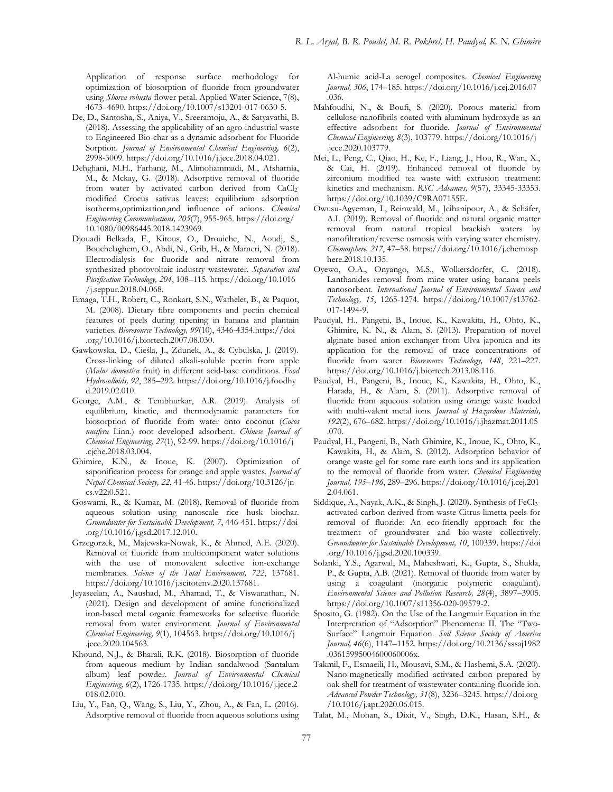Application of response surface methodology for optimization of biosorption of fluoride from groundwater using *Shorea robusta* flower petal. Applied Water Science, 7(8), 4673–4690. https://doi.org/10.1007/s13201-017-0630-5.

- De, D., Santosha, S., Aniya, V., Sreeramoju, A., & Satyavathi, B. (2018). Assessing the applicability of an agro-industrial waste to Engineered Bio-char as a dynamic adsorbent for Fluoride Sorption. *Journal of Environmental Chemical Engineering, 6*(2), 2998-3009. https://doi.org/10.1016/j.jece.2018.04.021.
- Dehghani, M.H., Farhang, M., Alimohammadi, M., Afsharnia, M., & Mckay, G. (2018). Adsorptive removal of fluoride from water by activated carbon derived from CaCl<sub>2</sub>modified Crocus sativus leaves: equilibrium adsorption isotherms,optimization,and influence of anions. *Chemical Engineering Communications, 205*(7), 955-965. https://doi.org/ 10.1080/00986445.2018.1423969.
- Djouadi Belkada, F., Kitous, O., Drouiche, N., Aoudj, S., Bouchelaghem, O., Abdi, N., Grib, H., & Mameri, N. (2018). Electrodialysis for fluoride and nitrate removal from synthesized photovoltaic industry wastewater. *Separation and Purification Technology, 204*, 108–115. https://doi.org/10.1016 /j.seppur.2018.04.068.
- Emaga, T.H., Robert, C., Ronkart, S.N., Wathelet, B., & Paquot, M. (2008). Dietary fibre components and pectin chemical features of peels during ripening in banana and plantain varieties. *Bioresource Technology, 99*(10), 4346-4354.https://doi .org/10.1016/j.biortech.2007.08.030.
- Gawkowska, D., Cieśla, J., Zdunek, A., & Cybulska, J. (2019). Cross-linking of diluted alkali-soluble pectin from apple (*Malus domestica* fruit) in different acid-base conditions. *Food Hydrocolloids, 92*, 285–292. https://doi.org/10.1016/j.foodhy d.2019.02.010.
- George, A.M., & Tembhurkar, A.R. (2019). Analysis of equilibrium, kinetic, and thermodynamic parameters for biosorption of fluoride from water onto coconut (*Cocos nucifera* Linn.) root developed adsorbent. *Chinese Journal of Chemical Engineering, 27*(1), 92-99. https://doi.org/10.1016/j .cjche.2018.03.004.
- Ghimire, K.N., & Inoue, K. (2007). Optimization of saponification process for orange and apple wastes. *Journal of Nepal Chemical Society, 22*, 41-46. https://doi.org/10.3126/jn cs.v22i0.521.
- Goswami, R., & Kumar, M. (2018). Removal of fluoride from aqueous solution using nanoscale rice husk biochar. *Groundwater for Sustainable Development, 7*, 446-451. https://doi .org/10.1016/j.gsd.2017.12.010.
- Grzegorzek, M., Majewska-Nowak, K., & Ahmed, A.E. (2020). Removal of fluoride from multicomponent water solutions with the use of monovalent selective ion-exchange membranes. *Science of the Total Environment, 722*, 137681. https://doi.org/10.1016/j.scitotenv.2020.137681.
- Jeyaseelan, A., Naushad, M., Ahamad, T., & Viswanathan, N. (2021). Design and development of amine functionalized iron-based metal organic frameworks for selective fluoride removal from water environment. *Journal of Environmental Chemical Engineering, 9*(1), 104563. https://doi.org/10.1016/j .jece.2020.104563.
- Khound, N.J., & Bharali, R.K. (2018). Biosorption of fluoride from aqueous medium by Indian sandalwood (Santalum album) leaf powder. *Journal of Environmental Chemical Engineering, 6*(2), 1726-1735. https://doi.org/10.1016/j.jece.2 018.02.010.
- Liu, Y., Fan, Q., Wang, S., Liu, Y., Zhou, A., & Fan, L. (2016). Adsorptive removal of fluoride from aqueous solutions using

Al-humic acid-La aerogel composites. *Chemical Engineering Journal, 306*, 174–185. https://doi.org/10.1016/j.cej.2016.07 .036.

- Mahfoudhi, N., & Boufi, S. (2020). Porous material from cellulose nanofibrils coated with aluminum hydroxyde as an effective adsorbent for fluoride. *Journal of Environmental Chemical Engineering, 8*(3), 103779. https://doi.org/10.1016/j .jece.2020.103779.
- Mei, L., Peng, C., Qiao, H., Ke, F., Liang, J., Hou, R., Wan, X., & Cai, H. (2019). Enhanced removal of fluoride by zirconium modified tea waste with extrusion treatment: kinetics and mechanism. *RSC Advances, 9*(57), 33345-33353. https://doi.org/10.1039/C9RA07155E.
- Owusu-Agyeman, I., Reinwald, M., Jeihanipour, A., & Schäfer, A.I. (2019). Removal of fluoride and natural organic matter removal from natural tropical brackish waters by nanofiltration/reverse osmosis with varying water chemistry. *Chemosphere, 217*, 47–58. https://doi.org/10.1016/j.chemosp here.2018.10.135.
- Oyewo, O.A., Onyango, M.S., Wolkersdorfer, C. (2018). Lanthanides removal from mine water using banana peels nanosorbent. *International Journal of Environmental Science and Technology, 15*, 1265-1274. https://doi.org/10.1007/s13762- 017-1494-9.
- Paudyal, H., Pangeni, B., Inoue, K., Kawakita, H., Ohto, K., Ghimire, K. N., & Alam, S. (2013). Preparation of novel alginate based anion exchanger from Ulva japonica and its application for the removal of trace concentrations of fluoride from water. *Bioresource Technology, 148*, 221–227. https://doi.org/10.1016/j.biortech.2013.08.116.
- Paudyal, H., Pangeni, B., Inoue, K., Kawakita, H., Ohto, K., Harada, H., & Alam, S. (2011). Adsorptive removal of fluoride from aqueous solution using orange waste loaded with multi-valent metal ions. *Journal of Hazardous Materials, 192*(2), 676–682. https://doi.org/10.1016/j.jhazmat.2011.05 .070.
- Paudyal, H., Pangeni, B., Nath Ghimire, K., Inoue, K., Ohto, K., Kawakita, H., & Alam, S. (2012). Adsorption behavior of orange waste gel for some rare earth ions and its application to the removal of fluoride from water. *Chemical Engineering Journal, 195–196*, 289–296. https://doi.org/10.1016/j.cej.201 2.04.061.
- Siddique, A., Nayak, A.K., & Singh, J. (2020). Synthesis of FeCl3 activated carbon derived from waste Citrus limetta peels for removal of fluoride: An eco-friendly approach for the treatment of groundwater and bio-waste collectively. *Groundwater for Sustainable Development, 10*, 100339. https://doi .org/10.1016/j.gsd.2020.100339.
- Solanki, Y.S., Agarwal, M., Maheshwari, K., Gupta, S., Shukla, P., & Gupta, A.B. (2021). Removal of fluoride from water by using a coagulant (inorganic polymeric coagulant). *Environmental Science and Pollution Research, 28*(4), 3897–3905. https://doi.org/10.1007/s11356-020-09579-2.
- Sposito, G. (1982). On the Use of the Langmuir Equation in the Interpretation of "Adsorption" Phenomena: II. The "Two-Surface" Langmuir Equation. *Soil Science Society of America Journal, 46*(6), 1147–1152. https://doi.org/10.2136/sssaj1982 .03615995004600060006x.
- Takmil, F., Esmaeili, H., Mousavi, S.M., & Hashemi, S.A. (2020). Nano-magnetically modified activated carbon prepared by oak shell for treatment of wastewater containing fluoride ion. *Advanced Powder Technology, 31*(8), 3236–3245. https://doi.org /10.1016/j.apt.2020.06.015.
- Talat, M., Mohan, S., Dixit, V., Singh, D.K., Hasan, S.H., &